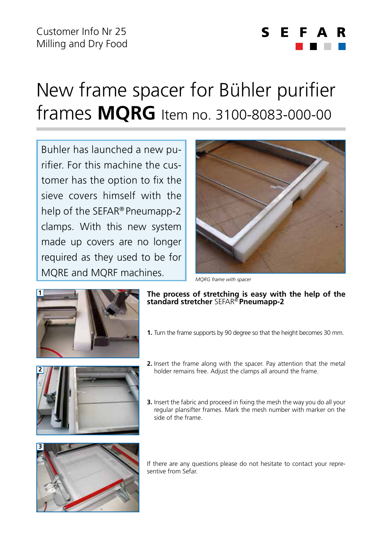## $\mathbf S$ F

## New frame spacer for Bühler purifier frames **MQRG** Item no. 3100-8083-000-00

Buhler has launched a new purifier. For this machine the customer has the option to fix the sieve covers himself with the help of the SEFAR® Pneumapp-2 clamps. With this new system made up covers are no longer required as they used to be for MQRE and MQRF machines.



*MQRG frame with spacer*



- **The process of stretching is easy with the help of the standard stretcher** SEFAR® **Pneumapp-2**
- **1.** Turn the frame supports by 90 degree so that the height becomes 30 mm.



- **2.** Insert the frame along with the spacer. Pay attention that the metal holder remains free. Adjust the clamps all around the frame.
- **3.** Insert the fabric and proceed in fixing the mesh the way you do all your regular plansifter frames. Mark the mesh number with marker on the side of the frame.



If there are any questions please do not hesitate to contact your representive from Sefar.